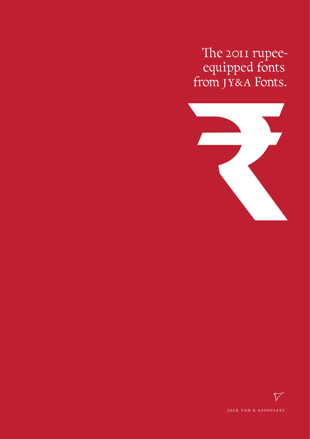The 2011 rupee-<br>equipped fonts<br>from JY&A Fonts.



 $\widetilde{V}$ JACK YAN & ASSOCIAES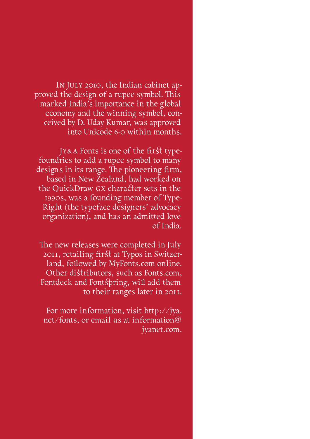In July 2010, the Indian cabinet approved the design of a rupee symbol. This marked India's importance in the global economy and the winning symbol, conceived by D. Uday Kumar, was approved into Unicode 6·0 within months.

Jy&a Fonts is one of the first typefoundries to add a rupee symbol to many designs in its range. The pioneering firm, based in New Zealand, had worked on the QuickDraw gx character sets in the 1990s, was a founding member of Type-Right (the typeface designers' advocacy organization), and has an admitted love of India.

The new releases were completed in July 2011, retailing first at Typos in Switzerland, followed by MyFonts.com online. Other distributors, such as Fonts.com, Fontdeck and Fontspring, will add them to their ranges later in 2011.

For more information, visit http://jya. net/fonts, or email us at information@ jyanet.com.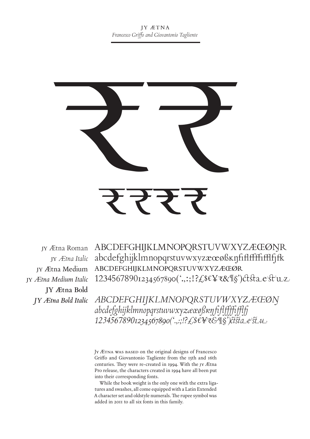

jy *Ætna Medium Italic* **jy Ætna Bold** *jy Ætna Bold Italic*

jy Ætna Roman – ABCDEFGHIJKLMNOPQRSTUVWXYZÆŒØŊR abcdefghijklmnopqrstuvwxyzæœøßĸŋfiflffffifflfjfk jy *Ætna Italic* jy Ætna Medium ABCDEFGHIJKLMNOPQRSTUVWXYZÆŒØR 12345678901234567890('.,:;!?£\$€¥₹&¶§')ctstaestuz

> *ABCDEFGHIJKLMNOPQRSTUVWXYZÆŒØŊ abcdefghijklmnopqrstuvwxyzæœøßĸŋfiflffffifflfj 12345678901234567890('.,:;!?£\$€¥₹&¶§')ctst*

JY ÆTNA WAS BASED on the original designs of Francesco Griffo and Giovantonio Tagliente from the 15th and 16th centuries. They were re-created in 1994. With the jy Ætna Pro release, the characters created in 1994 have all been put into their corresponding fonts.

While the book weight is the only one with the extra ligatures and swashes, all come equipped with a Latin Extended A character set and oldstyle numerals. The rupee symbol was added in 2011 to all six fonts in this family.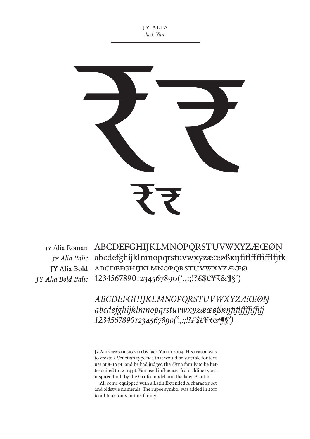j y alia *Jack Yan*



JY Alia Roman ABCDEFGHIJKLMNOPQRSTUVWXYZÆŒØN abcdefghijklmnopqrstuvwxyzæœøßĸŋfiflffffifflfjfk jy *Alia Italic* abcdefghijklmnopqrstuvwxyzæœø **jy Alia Bold** 12345678901234567890('.,:;!?£\$€¥₹&¶§') *jy Alia Bold Italic*

> *ABCDEFGHIJKLMNOPQRSTUVWXYZÆŒØŊ abcdefghijklmnopqrstuvwxyzæœøßĸŋfiflffffifflfj 12345678901234567890('.,:;!?£\$€¥₹&¶§')*

Jy Alia was designed by Jack Yan in 2009. His reason was to create a Venetian typeface that would be suitable for text use at 8–10 pt, and he had judged the Ætna family to be better suited to 12–14 pt. Yan used influences from aldine types, inspired both by the Griffo model and the later Plantin.

All come equipped with a Latin Extended A character set and oldstyle numerals. The rupee symbol was added in 2011 to all four fonts in this family.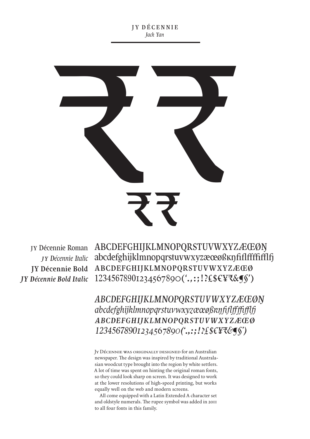j y décennie *Jack Yan*



JY Décennie Roman ABCDEFGHIJKLMNOPQRSTUVWXYZÆŒØŊ *jy Décennie Italic* abcdefghijklmnopqrstuvwxyzæœøßkŋfiflffffffff]fj JY Décennie Bold ABCDEFGHIJKLMNOPQRSTUVWXYZÆŒØ 12345678901234567890('.,:;!?£\$€¥₹&¶§') *jy Décennie Bold Italic*

> *ABCDEFGHIJKLMNOPQRSTUVWXYZÆŒØŊ abcdefghijklmnopqrstuvwxyzæœøßĸŋfiflffffifflfj abcdefghijklmnopqrstuvwxyzæœø 12345678901234567890('.,:;!?£\$€¥₹&¶§')*

Jy Décennie was originally designed for an Australian newspaper. The design was inspired by traditional Australasian woodcut type brought into the region by white settlers. A lot of time was spent on hinting the original roman fonts, so they could look sharp on screen. It was designed to work at the lower resolutions of high-speed printing, but works equally well on the web and modern screens.

All come equipped with a Latin Extended A character set and oldstyle numerals. The rupee symbol was added in 2011 to all four fonts in this family.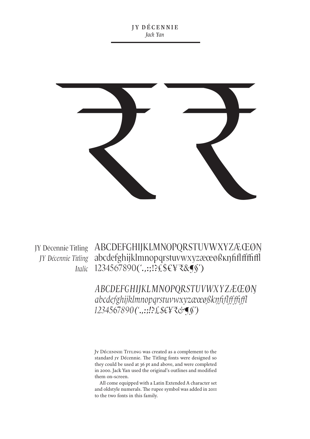

JY Décennie Titling ABCDEFGHIJKLMNOPQRSTUVWXYZÆŒØŊ *JY Décennie Titling* abcdefghijklmnopqrstuvwxyzæœøßkŋfiflfffiffl 1234567890('.,:;!?£\$€¥₹&¶§' )  *Italic*

> *ABCDEFGHIJKLMNOPQRSTUVWXYZÆŒØŊ abcdefghijklmnopqrstuvwxyzæœøßĸŋfiflffffiffl 1234567890('.,:;!?£\$€¥₹&¶§')*

Jy Décennie Titling was created as a complement to the standard jy Décennie. The Titling fonts were designed so they could be used at 36 pt and above, and were completed in 2000. Jack Yan used the original's outlines and modified them on-screen.

All come equipped with a Latin Extended A character set and oldstyle numerals. The rupee symbol was added in 2011 to the two fonts in this family.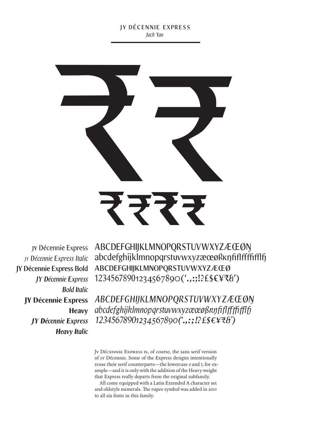## jy décennie express *Jack Yan*



jy Décennie Express *jy Décennie Express Italic* **jy Décennie Express Bold** *jy Décennie Express Bold Italic* jy Décennie Express **Heavy** *jy Décennie Express Heavy Italic* ABCDEFGHIJKLMNOPQRSTUVWXYZÆŒØŊ abcdefghijklmnopqrstuvwxyzæœøßĸŋfiflffffifflfj abcdefghijklmnopqrstuvwxyzæœø 12345678901234567890('.,:;!?£\$€¥₹&')

*ABCDEFGHIJKLMNOPQRSTUVWXYZÆŒØŊ abcdefghijklmnopqrstuvwxyzæœøßĸŋfiflffffifflfj 12345678901234567890('.,:;!?£\$€¥₹&')*

Jy Décennie Express is, of course, the sans serif version of jy Décennie. Some of the Express designs intentionally reuse their serif counterparts—the lowercase *e* and *t*, for example—and it is only with the addition of the Heavy weight that Express really departs from the original subfamily.

All come equipped with a Latin Extended A character set and oldstyle numerals. The rupee symbol was added in 2011 to all six fonts in this family.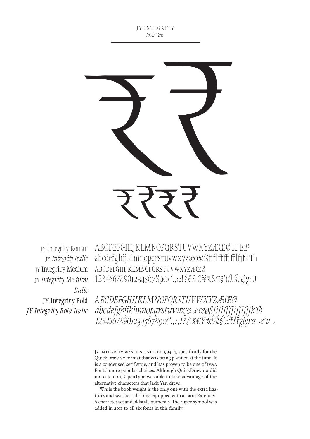JY INTEGRITY *Jack Yan*



jy Integrity Roman jy *Integrity Italic* jy Integrity Medium *Italic* **jy Integrity Bold** *jy Integrity Bold Italic*

ABCDEFGHIJKLMNOPQRSTUVWXYZÆŒØ abcdefghijklmnopqrstuvwxyzæœøßfiflffffifflfjfk abcdefghijklmnopqrstuvwxyzæœø 12345678901234567890('.,:;!?£\$€¥₹&¶§')ctstgigrtt jy *Integrity Medium* 

> *ABCDEFGHIJKLMNOPQRSTUVWXYZÆŒØ abcdefghijklmnopqrstuvwxyzæœøßfiflffffifflfjfkTh 12345678901234567890('.,:;!?£\$€¥₹&¶§')ctstgigr*

Jy Integrity was designed in 1993–4, specifically for the QuickDraw gx format that was being planned at the time. It is a condensed serif style, and has proven to be one of JY&A Fonts' more popular choices. Although QuickDraw gx did not catch on, OpenType was able to take advantage of the alternative characters that Jack Yan drew.

While the book weight is the only one with the extra ligatures and swashes, all come equipped with a Latin Extended A character set and oldstyle numerals. The rupee symbol was added in 2011 to all six fonts in this family.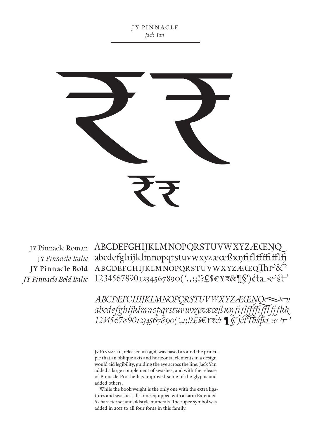jy pin nacle *Jack Yan*



*jy Pinnacle Bold Italic*

ABCDEFGHIJKLMNOPQRSTUVWXYZÆŒŊ jy Pinnacle Roman abcdefghijklmnopqrstuvwxyzæœßĸŋfiflffffifflfj jy *Pinnacle Italic* JY Pinnacle Bold ABCDEFGHIJKLMNOPQRSTUVWXYZÆŒQ**Thr<sup>></sup>&** 12345678901234567890('.,:;!?£\$€¥₹&¶§')ct

> *ABCDEFGHIJKLMNOPQRSTUVWXYZÆŒNQ abcdefghijklmnopqrstuvwxyzæœßĸŋfiflffffifflfjfkk 12345678901234567890('.,:;!?£\$€¥₹& ¶§')ctThspr*

Jy Pinnacle, released in 1996, was based around the principle that an oblique axis and horizontal elements in a design would aid legibility, guiding the eye across the line. Jack Yan added a large complement of swashes, and with the release of Pinnacle Pro, he has improved some of the glyphs and added others.

While the book weight is the only one with the extra ligatures and swashes, all come equipped with a Latin Extended A character set and oldstyle numerals. The rupee symbol was added in 2011 to all four fonts in this family.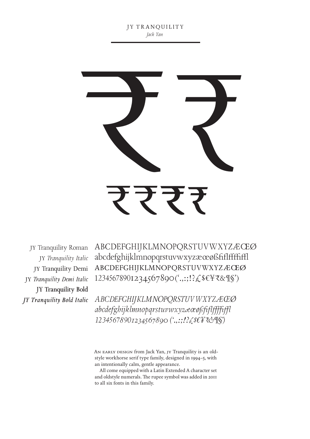

jy Tranquility Roman jy *Tranquility Italic* **jy Tranquility Demi jy** *Tranquility Demi Italic* **jy Tranquility Bold** *jy Tranquility Bold Italic*

ABCDEFGHIJKLMNOPQRSTUVWXYZÆŒØ abcdefghijklmnopqrstuvwxyzæœøßfiflffffiffl abcdefghijklmnopqrstuvwxyzæœø 12345678901234567890('.,:;!?£\$€¥₹&¶§')

*ABCDEFGHIJKLMNOPQRSTUVWXYZÆŒø abcdefghijklmnopqrstuvwxyzæœøßfiflffffiffl 12345678901234567890 ('.,:;!?£\$€¥₹&¶§')*

AN EARLY DESIGN from Jack Yan, JY Tranquility is an oldstyle workhorse serif type family, designed in 1994–5, with an intentionally calm, gentle appearance.

All come equipped with a Latin Extended A character set and oldstyle numerals. The rupee symbol was added in 2011 to all six fonts in this family.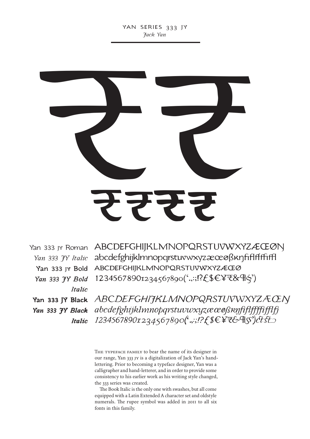

Yan 333 JY Bold  $It a line$ 

Italic

Yan 333 JY Roman ABCDEFGHIJKLMNOPQRSTUVWXYZÆCEØN Yan 333 JY Bold ABCDEFGHIJKLMNOPQRSTUVWXYZÆCEØ 12345678901234567890('.,:;!?£\$€¥₹&¶\$')

Yan 333 IY Black ABCDEFGHIJKLMNOPQRSTUVWXYZACEN 12345678901234567890('.,:;!?£\$€¥₹&¶\$')ctst

> THE TYPEFACE FAMILY to bear the name of its designer in our range, Yan 333 JY is a digitalization of Jack Yan's handlettering. Prior to becoming a typeface designer, Yan was a calligrapher and hand-letterer, and in order to provide some consistency to his earlier work as his writing style changed, the 333 series was created.

The Book Italic is the only one with swashes, but all come equipped with a Latin Extended A character set and oldstyle numerals. The rupee symbol was added in 2011 to all six fonts in this family.